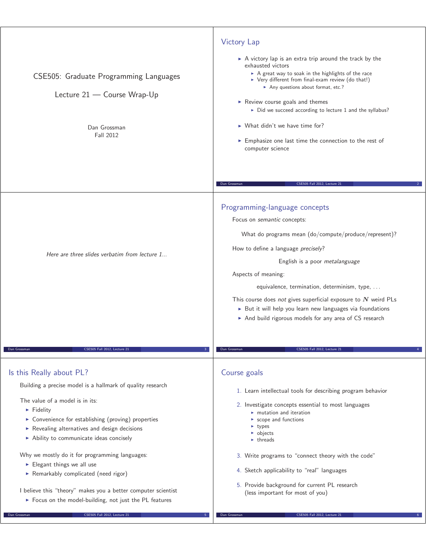| CSE505: Graduate Programming Languages<br>Lecture 21 - Course Wrap-Up<br>Dan Grossman<br>Fall 2012                                                                                                                                                                                                                                                                                                                                                                                                                       | <b>Victory Lap</b><br>$\triangleright$ A victory lap is an extra trip around the track by the<br>exhausted victors<br>A great way to soak in the highlights of the race<br>▶ Very different from final-exam review (do that!)<br>Any questions about format, etc.?<br>Review course goals and themes<br>> Did we succeed according to lecture 1 and the syllabus?<br>$\triangleright$ What didn't we have time for?<br>Emphasize one last time the connection to the rest of<br>computer science                  |
|--------------------------------------------------------------------------------------------------------------------------------------------------------------------------------------------------------------------------------------------------------------------------------------------------------------------------------------------------------------------------------------------------------------------------------------------------------------------------------------------------------------------------|-------------------------------------------------------------------------------------------------------------------------------------------------------------------------------------------------------------------------------------------------------------------------------------------------------------------------------------------------------------------------------------------------------------------------------------------------------------------------------------------------------------------|
|                                                                                                                                                                                                                                                                                                                                                                                                                                                                                                                          | CSE505 Fall 2012, Lecture 21<br>Dan Grossman                                                                                                                                                                                                                                                                                                                                                                                                                                                                      |
| Here are three slides verbatim from lecture 1                                                                                                                                                                                                                                                                                                                                                                                                                                                                            | Programming-language concepts<br>Focus on semantic concepts:<br>What do programs mean (do/compute/produce/represent)?<br>How to define a language precisely?<br>English is a poor metalanguage<br>Aspects of meaning:<br>equivalence, termination, determinism, type,<br>This course does not gives superficial exposure to $N$ weird PLs<br>But it will help you learn new languages via foundations<br>And build rigorous models for any area of CS research                                                    |
| CSE505 Fall 2012, Lecture 21<br>Dan Grossman                                                                                                                                                                                                                                                                                                                                                                                                                                                                             | CSE505 Fall 2012, Lecture 21<br>Dan Grossman                                                                                                                                                                                                                                                                                                                                                                                                                                                                      |
| Is this Really about PL?<br>Building a precise model is a hallmark of quality research<br>The value of a model is in its:<br>$\blacktriangleright$ Fidelity<br>• Convenience for establishing (proving) properties<br>Revealing alternatives and design decisions<br>Ability to communicate ideas concisely<br>Why we mostly do it for programming languages:<br>$\blacktriangleright$ Elegant things we all use<br>Remarkably complicated (need rigor)<br>I believe this "theory" makes you a better computer scientist | Course goals<br>1. Learn intellectual tools for describing program behavior<br>2. Investigate concepts essential to most languages<br>$\blacktriangleright$ mutation and iteration<br>$\triangleright$ scope and functions<br>$\blacktriangleright$ types<br>$\triangleright$ objects<br>$\blacktriangleright$ threads<br>3. Write programs to "connect theory with the code"<br>4. Sketch applicability to "real" languages<br>5. Provide background for current PL research<br>(less important for most of you) |
| > Focus on the model-building, not just the PL features<br>CSE505 Fall 2012, Lecture 2                                                                                                                                                                                                                                                                                                                                                                                                                                   | CSE505 Fall 2012, Lecture 2                                                                                                                                                                                                                                                                                                                                                                                                                                                                                       |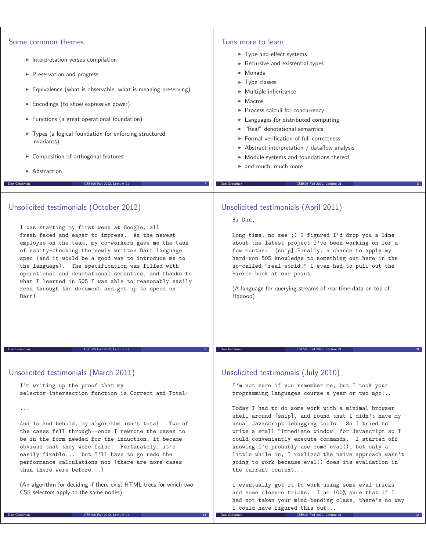| Some common themes                                                                                        | Tons more to learn                                                                                         |
|-----------------------------------------------------------------------------------------------------------|------------------------------------------------------------------------------------------------------------|
|                                                                                                           | Type-and-effect systems                                                                                    |
| Interpretation versus compilation                                                                         | Recursive and existential types                                                                            |
| Preservation and progress                                                                                 | $\blacktriangleright$ Monads                                                                               |
| Equivalence (what is observable, what is meaning-preserving)                                              | $\blacktriangleright$ Type classes                                                                         |
|                                                                                                           | $\triangleright$ Multiple inheritance<br>$\blacktriangleright$ Macros                                      |
| Encodings (to show expressive power)                                                                      | Process calculi for concurrency                                                                            |
| Functions (a great operational foundation)                                                                | Languages for distributed computing                                                                        |
| > Types (a logical foundation for enforcing structured                                                    | $\blacktriangleright$ "Real" denotational semantics                                                        |
| invariants)                                                                                               | $\blacktriangleright$ Formal verification of full correctness                                              |
| Composition of orthogonal features                                                                        | $\triangleright$ Abstract interpretation / dataflow analysis                                               |
|                                                                                                           | • Module systems and foundations thereof<br>$\blacktriangleright$ and much, much more                      |
| $\blacktriangleright$ Abstraction                                                                         |                                                                                                            |
| CSE505 Fall 2012, Lecture 21<br>Dan Grossman                                                              | CSE505 Fall 2012, Lecture 21<br>Dan Grossman                                                               |
|                                                                                                           |                                                                                                            |
| Unsolicited testimonials (October 2012)                                                                   | Unsolicited testimonials (April 2011)                                                                      |
|                                                                                                           | Hi Dan,                                                                                                    |
| I was starting my first week at Google, all                                                               |                                                                                                            |
| fresh-faced and eager to impress. As the newest<br>employee on the team, my co-workers gave me the task   | Long time, no see ;) I figured I'd drop you a line<br>about the latest project I've been working on for a  |
| of sanity-checking the newly written Dart language                                                        | few months: [snip] Finally, a chance to apply my                                                           |
| spec (and it would be a good way to introduce me to                                                       | hard-won 505 knowledge to something out here in the                                                        |
| the language). The specification was filled with<br>operational and denotational semantics, and thanks to | so-called "real world." I even had to pull out the<br>Pierce book at one point.                            |
| what I learned in 505 I was able to reasonably easily                                                     |                                                                                                            |
| read through the document and get up to speed on                                                          | (A language for querying streams of real-time data on top of                                               |
| Dart!                                                                                                     | Hadoop)                                                                                                    |
|                                                                                                           |                                                                                                            |
|                                                                                                           |                                                                                                            |
|                                                                                                           |                                                                                                            |
| Dan Grossman<br>CSE505 Fall 2012, Lecture 21                                                              | Dan Grossman<br>CSE505 Fall 2012, Lecture 21                                                               |
|                                                                                                           |                                                                                                            |
| Unsolicited testimonials (March 2011)                                                                     | Unsolicited testimonials (July 2010)                                                                       |
| I'm writing up the proof that my                                                                          | I'm not sure if you remember me, but I took your                                                           |
| selector-intersection function is Correct and Total:                                                      | programming languages course a year or two ago                                                             |
|                                                                                                           |                                                                                                            |
| $\cdots$                                                                                                  | Today I had to do some work with a minimal browser<br>shell around [snip], and found that I didn't have my |
| And lo and behold, my algorithm isn't total. Two of                                                       | usual Javascript debugging tools. So I tried to                                                            |
| the cases fell through--once I rewrote the cases to                                                       | write a small "immediate window" for Javascript so I                                                       |
| be in the form needed for the induction, it became<br>obvious that they were false. Fortunately, it's     | could conveniently execute commands. I started off<br>knowing I'd probably use some eval(), but only a     |
| easily fixable but I'll have to go redo the                                                               | little while in, I realized the naive approach wasn't                                                      |
| performance calculations now (there are more cases                                                        | going to work because eval() does its evaluation in                                                        |
| than there were before)                                                                                   | the current context                                                                                        |
| (An algorithm for deciding if there exist HTML trees for which two                                        | I eventually got it to work using some eval tricks                                                         |
| CSS selectors apply to the same nodes)                                                                    | and some closure tricks. I am 100% sure that if I                                                          |
|                                                                                                           | had not taken your mind-bending class, there's no way<br>I could have figured this out                     |
| Dan Grossman<br>CSE505 Fall 2012, Lecture 21<br>11 <sub>1</sub>                                           | CSE505 Fall 2012, Lecture 21<br>Dan Grossman                                                               |
|                                                                                                           |                                                                                                            |